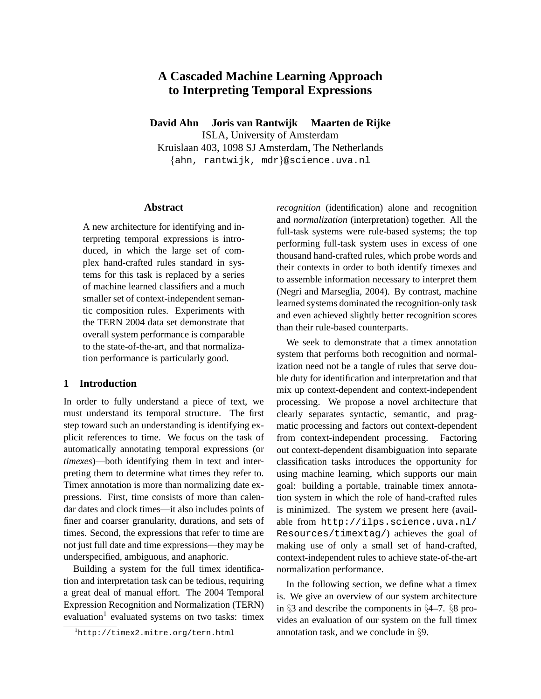# **A Cascaded Machine Learning Approach to Interpreting Temporal Expressions**

**David Ahn Joris van Rantwijk Maarten de Rijke**

ISLA, University of Amsterdam Kruislaan 403, 1098 SJ Amsterdam, The Netherlands {ahn, rantwijk, mdr}@science.uva.nl

### **Abstract**

A new architecture for identifying and interpreting temporal expressions is introduced, in which the large set of complex hand-crafted rules standard in systems for this task is replaced by a series of machine learned classifiers and a much smaller set of context-independent semantic composition rules. Experiments with the TERN 2004 data set demonstrate that overall system performance is comparable to the state-of-the-art, and that normalization performance is particularly good.

# **1 Introduction**

In order to fully understand a piece of text, we must understand its temporal structure. The first step toward such an understanding is identifying explicit references to time. We focus on the task of automatically annotating temporal expressions (or *timexes*)—both identifying them in text and interpreting them to determine what times they refer to. Timex annotation is more than normalizing date expressions. First, time consists of more than calendar dates and clock times—it also includes points of finer and coarser granularity, durations, and sets of times. Second, the expressions that refer to time are not just full date and time expressions—they may be underspecified, ambiguous, and anaphoric.

Building a system for the full timex identification and interpretation task can be tedious, requiring a great deal of manual effort. The 2004 Temporal Expression Recognition and Normalization (TERN) evaluation<sup>1</sup> evaluated systems on two tasks: timex

*recognition* (identification) alone and recognition and *normalization* (interpretation) together. All the full-task systems were rule-based systems; the top performing full-task system uses in excess of one thousand hand-crafted rules, which probe words and their contexts in order to both identify timexes and to assemble information necessary to interpret them (Negri and Marseglia, 2004). By contrast, machine learned systems dominated the recognition-only task and even achieved slightly better recognition scores than their rule-based counterparts.

We seek to demonstrate that a timex annotation system that performs both recognition and normalization need not be a tangle of rules that serve double duty for identification and interpretation and that mix up context-dependent and context-independent processing. We propose a novel architecture that clearly separates syntactic, semantic, and pragmatic processing and factors out context-dependent from context-independent processing. Factoring out context-dependent disambiguation into separate classification tasks introduces the opportunity for using machine learning, which supports our main goal: building a portable, trainable timex annotation system in which the role of hand-crafted rules is minimized. The system we present here (available from http://ilps.science.uva.nl/ Resources/timextag/) achieves the goal of making use of only a small set of hand-crafted, context-independent rules to achieve state-of-the-art normalization performance.

In the following section, we define what a timex is. We give an overview of our system architecture in §3 and describe the components in §4–7. §8 provides an evaluation of our system on the full timex annotation task, and we conclude in §9.

<sup>1</sup>http://timex2.mitre.org/tern.html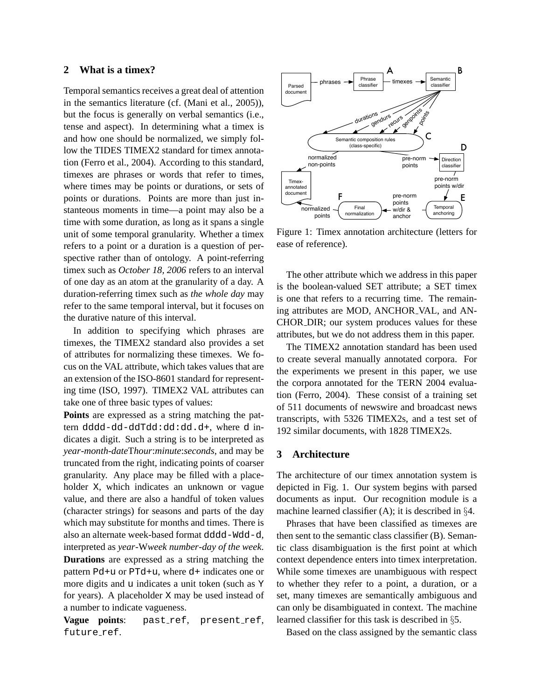# **2 What is a timex?**

Temporal semantics receives a great deal of attention in the semantics literature (cf. (Mani et al., 2005)), but the focus is generally on verbal semantics (i.e., tense and aspect). In determining what a timex is and how one should be normalized, we simply follow the TIDES TIMEX2 standard for timex annotation (Ferro et al., 2004). According to this standard, timexes are phrases or words that refer to times, where times may be points or durations, or sets of points or durations. Points are more than just instanteous moments in time—a point may also be a time with some duration, as long as it spans a single unit of some temporal granularity. Whether a timex refers to a point or a duration is a question of perspective rather than of ontology. A point-referring timex such as *October 18, 2006* refers to an interval of one day as an atom at the granularity of a day. A duration-referring timex such as *the whole day* may refer to the same temporal interval, but it focuses on the durative nature of this interval.

In addition to specifying which phrases are timexes, the TIMEX2 standard also provides a set of attributes for normalizing these timexes. We focus on the VAL attribute, which takes values that are an extension of the ISO-8601 standard for representing time (ISO, 1997). TIMEX2 VAL attributes can take one of three basic types of values:

**Points** are expressed as a string matching the pattern dddd-dd-ddTdd:dd:dd.d+, where d indicates a digit. Such a string is to be interpreted as *year*-*month*-*date*T*hour*:*minute*:*seconds*, and may be truncated from the right, indicating points of coarser granularity. Any place may be filled with a placeholder X, which indicates an unknown or vague value, and there are also a handful of token values (character strings) for seasons and parts of the day which may substitute for months and times. There is also an alternate week-based format dddd-Wdd-d, interpreted as *year*-W*week number*-*day of the week*.

**Durations** are expressed as a string matching the pattern Pd+u or PTd+u, where d+ indicates one or more digits and u indicates a unit token (such as Y for years). A placeholder X may be used instead of a number to indicate vagueness.

**Vague points**: past ref, present ref, future\_ref.



Figure 1: Timex annotation architecture (letters for ease of reference).

The other attribute which we address in this paper is the boolean-valued SET attribute; a SET timex is one that refers to a recurring time. The remaining attributes are MOD, ANCHOR VAL, and AN-CHOR DIR; our system produces values for these attributes, but we do not address them in this paper.

The TIMEX2 annotation standard has been used to create several manually annotated corpora. For the experiments we present in this paper, we use the corpora annotated for the TERN 2004 evaluation (Ferro, 2004). These consist of a training set of 511 documents of newswire and broadcast news transcripts, with 5326 TIMEX2s, and a test set of 192 similar documents, with 1828 TIMEX2s.

### **3 Architecture**

The architecture of our timex annotation system is depicted in Fig. 1. Our system begins with parsed documents as input. Our recognition module is a machine learned classifier  $(A)$ ; it is described in §4.

Phrases that have been classified as timexes are then sent to the semantic class classifier (B). Semantic class disambiguation is the first point at which context dependence enters into timex interpretation. While some timexes are unambiguous with respect to whether they refer to a point, a duration, or a set, many timexes are semantically ambiguous and can only be disambiguated in context. The machine learned classifier for this task is described in §5.

Based on the class assigned by the semantic class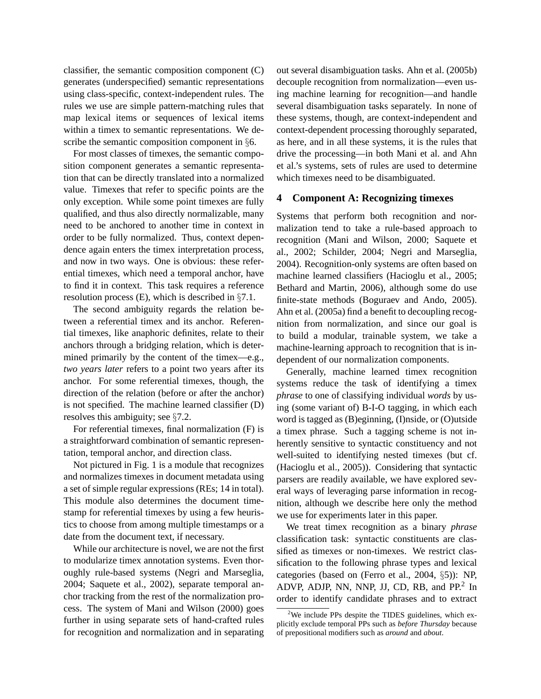classifier, the semantic composition component (C) generates (underspecified) semantic representations using class-specific, context-independent rules. The rules we use are simple pattern-matching rules that map lexical items or sequences of lexical items within a timex to semantic representations. We describe the semantic composition component in §6.

For most classes of timexes, the semantic composition component generates a semantic representation that can be directly translated into a normalized value. Timexes that refer to specific points are the only exception. While some point timexes are fully qualified, and thus also directly normalizable, many need to be anchored to another time in context in order to be fully normalized. Thus, context dependence again enters the timex interpretation process, and now in two ways. One is obvious: these referential timexes, which need a temporal anchor, have to find it in context. This task requires a reference resolution process (E), which is described in §7.1.

The second ambiguity regards the relation between a referential timex and its anchor. Referential timexes, like anaphoric definites, relate to their anchors through a bridging relation, which is determined primarily by the content of the timex—e.g., *two years later* refers to a point two years after its anchor. For some referential timexes, though, the direction of the relation (before or after the anchor) is not specified. The machine learned classifier (D) resolves this ambiguity; see §7.2.

For referential timexes, final normalization (F) is a straightforward combination of semantic representation, temporal anchor, and direction class.

Not pictured in Fig. 1 is a module that recognizes and normalizes timexes in document metadata using a set of simple regular expressions (REs; 14 in total). This module also determines the document timestamp for referential timexes by using a few heuristics to choose from among multiple timestamps or a date from the document text, if necessary.

While our architecture is novel, we are not the first to modularize timex annotation systems. Even thoroughly rule-based systems (Negri and Marseglia, 2004; Saquete et al., 2002), separate temporal anchor tracking from the rest of the normalization process. The system of Mani and Wilson (2000) goes further in using separate sets of hand-crafted rules for recognition and normalization and in separating out several disambiguation tasks. Ahn et al. (2005b) decouple recognition from normalization—even using machine learning for recognition—and handle several disambiguation tasks separately. In none of these systems, though, are context-independent and context-dependent processing thoroughly separated, as here, and in all these systems, it is the rules that drive the processing—in both Mani et al. and Ahn et al.'s systems, sets of rules are used to determine which timexes need to be disambiguated.

# **4 Component A: Recognizing timexes**

Systems that perform both recognition and normalization tend to take a rule-based approach to recognition (Mani and Wilson, 2000; Saquete et al., 2002; Schilder, 2004; Negri and Marseglia, 2004). Recognition-only systems are often based on machine learned classifiers (Hacioglu et al., 2005; Bethard and Martin, 2006), although some do use finite-state methods (Boguraev and Ando, 2005). Ahn et al. (2005a) find a benefit to decoupling recognition from normalization, and since our goal is to build a modular, trainable system, we take a machine-learning approach to recognition that is independent of our normalization components.

Generally, machine learned timex recognition systems reduce the task of identifying a timex *phrase* to one of classifying individual *words* by using (some variant of) B-I-O tagging, in which each word is tagged as (B)eginning, (I)nside, or (O)utside a timex phrase. Such a tagging scheme is not inherently sensitive to syntactic constituency and not well-suited to identifying nested timexes (but cf. (Hacioglu et al., 2005)). Considering that syntactic parsers are readily available, we have explored several ways of leveraging parse information in recognition, although we describe here only the method we use for experiments later in this paper.

We treat timex recognition as a binary *phrase* classification task: syntactic constituents are classified as timexes or non-timexes. We restrict classification to the following phrase types and lexical categories (based on (Ferro et al., 2004, §5)): NP, ADVP, ADJP, NN, NNP, JJ, CD, RB, and PP.<sup>2</sup> In order to identify candidate phrases and to extract

 $2$ We include PPs despite the TIDES guidelines, which explicitly exclude temporal PPs such as *before Thursday* because of prepositional modifiers such as *around* and *about*.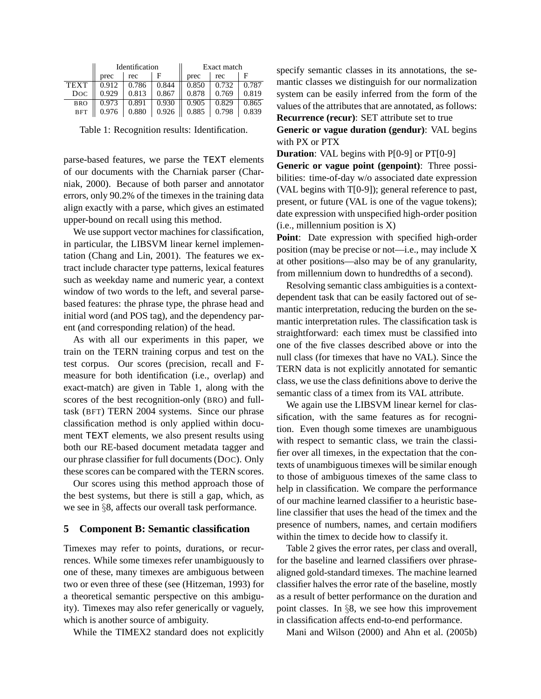|             | Identification |       |       | Exact match |              |       |  |
|-------------|----------------|-------|-------|-------------|--------------|-------|--|
|             | prec           | rec   |       | prec        | rec          |       |  |
| <b>TEXT</b> | 0.912          | 0.786 | 0.844 | 0.850       | $\mid 0.732$ | 0.787 |  |
| <b>Doc</b>  | 0.929          | 0.813 | 0.867 | 0.878       | 0.769        | 0.819 |  |
| <b>BRO</b>  | 0.973          | 0.891 | 0.930 | 0.905       | 0.829        | 0.865 |  |
| <b>BFT</b>  | 0.976          | 0.880 | 0.926 | 0.885       | 0.798        | 0.839 |  |

Table 1: Recognition results: Identification.

parse-based features, we parse the TEXT elements of our documents with the Charniak parser (Charniak, 2000). Because of both parser and annotator errors, only 90.2% of the timexes in the training data align exactly with a parse, which gives an estimated upper-bound on recall using this method.

We use support vector machines for classification, in particular, the LIBSVM linear kernel implementation (Chang and Lin, 2001). The features we extract include character type patterns, lexical features such as weekday name and numeric year, a context window of two words to the left, and several parsebased features: the phrase type, the phrase head and initial word (and POS tag), and the dependency parent (and corresponding relation) of the head.

As with all our experiments in this paper, we train on the TERN training corpus and test on the test corpus. Our scores (precision, recall and Fmeasure for both identification (i.e., overlap) and exact-match) are given in Table 1, along with the scores of the best recognition-only (BRO) and fulltask (BFT) TERN 2004 systems. Since our phrase classification method is only applied within document TEXT elements, we also present results using both our RE-based document metadata tagger and our phrase classifier for full documents (DOC). Only these scores can be compared with the TERN scores.

Our scores using this method approach those of the best systems, but there is still a gap, which, as we see in §8, affects our overall task performance.

### **5 Component B: Semantic classification**

Timexes may refer to points, durations, or recurrences. While some timexes refer unambiguously to one of these, many timexes are ambiguous between two or even three of these (see (Hitzeman, 1993) for a theoretical semantic perspective on this ambiguity). Timexes may also refer generically or vaguely, which is another source of ambiguity.

While the TIMEX2 standard does not explicitly

specify semantic classes in its annotations, the semantic classes we distinguish for our normalization system can be easily inferred from the form of the values of the attributes that are annotated, as follows: **Recurrence (recur)**: SET attribute set to true

**Generic or vague duration (gendur)**: VAL begins with PX or PTX

**Duration**: VAL begins with P[0-9] or PT[0-9]

**Generic or vague point (genpoint)**: Three possibilities: time-of-day w/o associated date expression (VAL begins with T[0-9]); general reference to past, present, or future (VAL is one of the vague tokens); date expression with unspecified high-order position (i.e., millennium position is X)

**Point**: Date expression with specified high-order position (may be precise or not—i.e., may include X at other positions—also may be of any granularity, from millennium down to hundredths of a second).

Resolving semantic class ambiguities is a contextdependent task that can be easily factored out of semantic interpretation, reducing the burden on the semantic interpretation rules. The classification task is straightforward: each timex must be classified into one of the five classes described above or into the null class (for timexes that have no VAL). Since the TERN data is not explicitly annotated for semantic class, we use the class definitions above to derive the semantic class of a timex from its VAL attribute.

We again use the LIBSVM linear kernel for classification, with the same features as for recognition. Even though some timexes are unambiguous with respect to semantic class, we train the classifier over all timexes, in the expectation that the contexts of unambiguous timexes will be similar enough to those of ambiguous timexes of the same class to help in classification. We compare the performance of our machine learned classifier to a heuristic baseline classifier that uses the head of the timex and the presence of numbers, names, and certain modifiers within the timex to decide how to classify it.

Table 2 gives the error rates, per class and overall, for the baseline and learned classifiers over phrasealigned gold-standard timexes. The machine learned classifier halves the error rate of the baseline, mostly as a result of better performance on the duration and point classes. In §8, we see how this improvement in classification affects end-to-end performance.

Mani and Wilson (2000) and Ahn et al. (2005b)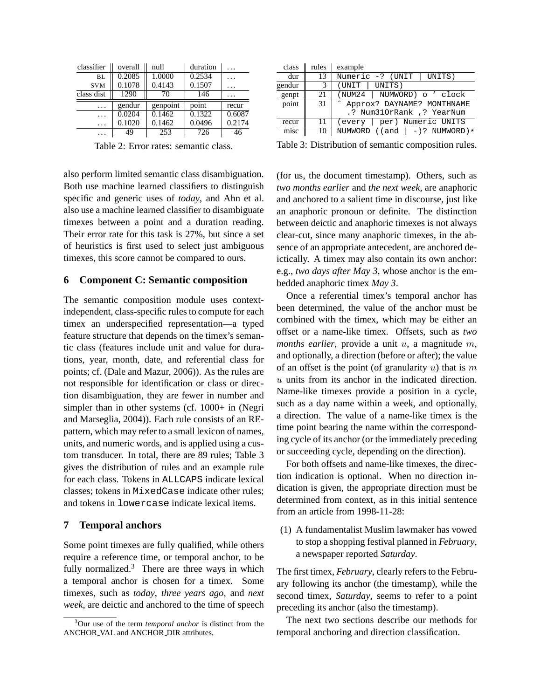| classifier | overall | null     | duration | $\cdot$ $\cdot$ |
|------------|---------|----------|----------|-----------------|
| BL.        | 0.2085  | 1.0000   | 0.2534   |                 |
| <b>SVM</b> | 0.1078  | 0.4143   | 0.1507   | .               |
| class dist | 1290    | 70       | 146      |                 |
| .          | gendur  | genpoint | point    | recur           |
| .          | 0.0204  | 0.1462   | 0.1322   | 0.6087          |
| $\cdots$   | 0.1020  | 0.1462   | 0.0496   | 0.2174          |
| .          | 49      | 253      | 726      | 46              |

Table 2: Error rates: semantic class.

also perform limited semantic class disambiguation. Both use machine learned classifiers to distinguish specific and generic uses of *today*, and Ahn et al. also use a machine learned classifier to disambiguate timexes between a point and a duration reading. Their error rate for this task is 27%, but since a set of heuristics is first used to select just ambiguous timexes, this score cannot be compared to ours.

# **6 Component C: Semantic composition**

The semantic composition module uses contextindependent, class-specific rules to compute for each timex an underspecified representation—a typed feature structure that depends on the timex's semantic class (features include unit and value for durations, year, month, date, and referential class for points; cf. (Dale and Mazur, 2006)). As the rules are not responsible for identification or class or direction disambiguation, they are fewer in number and simpler than in other systems (cf. 1000+ in (Negri and Marseglia, 2004)). Each rule consists of an REpattern, which may refer to a small lexicon of names, units, and numeric words, and is applied using a custom transducer. In total, there are 89 rules; Table 3 gives the distribution of rules and an example rule for each class. Tokens in ALLCAPS indicate lexical classes; tokens in MixedCase indicate other rules; and tokens in lowercase indicate lexical items.

# **7 Temporal anchors**

Some point timexes are fully qualified, while others require a reference time, or temporal anchor, to be fully normalized. $3$  There are three ways in which a temporal anchor is chosen for a timex. Some timexes, such as *today*, *three years ago*, and *next week*, are deictic and anchored to the time of speech

| class  | rules | example                         |
|--------|-------|---------------------------------|
| dur    | 13    | Numeric -? (UNIT<br>UNITS)      |
| gendur | 3     | UNITS)<br>(UNIT                 |
| genpt  | 21    | (NUM24<br>NUMWORD) o ' clock    |
| point  | -31   | Approx? DAYNAME? MONTHNAME      |
|        |       | .? Num310rRank ,? YearNum       |
| recur  | 11    | per) Numeric UNITS<br>(every    |
| misc   | 10    | NUMWORD $((and   -)?$ NUMWORD)* |
|        |       |                                 |

Table 3: Distribution of semantic composition rules.

(for us, the document timestamp). Others, such as *two months earlier* and *the next week*, are anaphoric and anchored to a salient time in discourse, just like an anaphoric pronoun or definite. The distinction between deictic and anaphoric timexes is not always clear-cut, since many anaphoric timexes, in the absence of an appropriate antecedent, are anchored deictically. A timex may also contain its own anchor: e.g., *two days after May 3*, whose anchor is the embedded anaphoric timex *May 3*.

Once a referential timex's temporal anchor has been determined, the value of the anchor must be combined with the timex, which may be either an offset or a name-like timex. Offsets, such as *two months earlier*, provide a unit u, a magnitude m, and optionally, a direction (before or after); the value of an offset is the point (of granularity  $u$ ) that is m  $u$  units from its anchor in the indicated direction. Name-like timexes provide a position in a cycle, such as a day name within a week, and optionally, a direction. The value of a name-like timex is the time point bearing the name within the corresponding cycle of its anchor (or the immediately preceding or succeeding cycle, depending on the direction).

For both offsets and name-like timexes, the direction indication is optional. When no direction indication is given, the appropriate direction must be determined from context, as in this initial sentence from an article from 1998-11-28:

(1) A fundamentalist Muslim lawmaker has vowed to stop a shopping festival planned in *February*, a newspaper reported *Saturday*.

The first timex, *February*, clearly refers to the February following its anchor (the timestamp), while the second timex, *Saturday*, seems to refer to a point preceding its anchor (also the timestamp).

The next two sections describe our methods for temporal anchoring and direction classification.

<sup>3</sup>Our use of the term *temporal anchor* is distinct from the ANCHOR VAL and ANCHOR DIR attributes.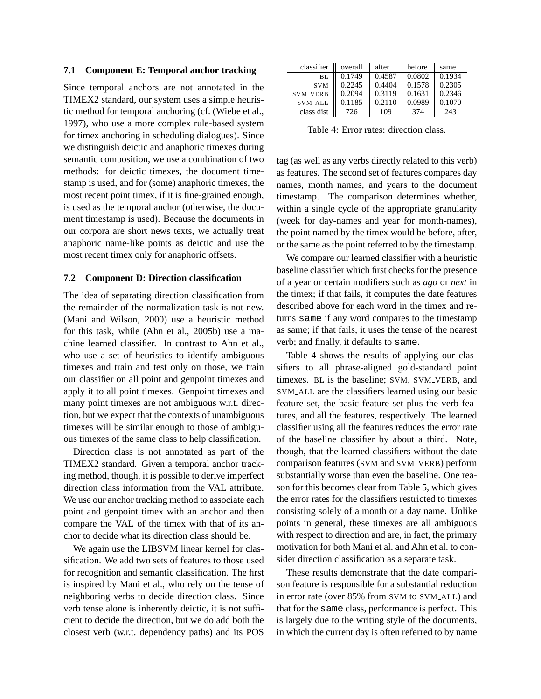#### **7.1 Component E: Temporal anchor tracking**

Since temporal anchors are not annotated in the TIMEX2 standard, our system uses a simple heuristic method for temporal anchoring (cf. (Wiebe et al., 1997), who use a more complex rule-based system for timex anchoring in scheduling dialogues). Since we distinguish deictic and anaphoric timexes during semantic composition, we use a combination of two methods: for deictic timexes, the document timestamp is used, and for (some) anaphoric timexes, the most recent point timex, if it is fine-grained enough, is used as the temporal anchor (otherwise, the document timestamp is used). Because the documents in our corpora are short news texts, we actually treat anaphoric name-like points as deictic and use the most recent timex only for anaphoric offsets.

## **7.2 Component D: Direction classification**

The idea of separating direction classification from the remainder of the normalization task is not new. (Mani and Wilson, 2000) use a heuristic method for this task, while (Ahn et al., 2005b) use a machine learned classifier. In contrast to Ahn et al., who use a set of heuristics to identify ambiguous timexes and train and test only on those, we train our classifier on all point and genpoint timexes and apply it to all point timexes. Genpoint timexes and many point timexes are not ambiguous w.r.t. direction, but we expect that the contexts of unambiguous timexes will be similar enough to those of ambiguous timexes of the same class to help classification.

Direction class is not annotated as part of the TIMEX2 standard. Given a temporal anchor tracking method, though, it is possible to derive imperfect direction class information from the VAL attribute. We use our anchor tracking method to associate each point and genpoint timex with an anchor and then compare the VAL of the timex with that of its anchor to decide what its direction class should be.

We again use the LIBSVM linear kernel for classification. We add two sets of features to those used for recognition and semantic classification. The first is inspired by Mani et al., who rely on the tense of neighboring verbs to decide direction class. Since verb tense alone is inherently deictic, it is not sufficient to decide the direction, but we do add both the closest verb (w.r.t. dependency paths) and its POS

| classifier      | overall | after               | before | same   |
|-----------------|---------|---------------------|--------|--------|
| BL              | 0.1749  | $\overline{0.4587}$ | 0.0802 | 0.1934 |
| <b>SVM</b>      | 0.2245  | 0.4404              | 0.1578 | 0.2305 |
| <b>SVM_VERB</b> | 0.2094  | 0.3119              | 0.1631 | 0.2346 |
| SVM_ALL         | 0.1185  | 0.2110              | 0.0989 | 0.1070 |
| class dist      | 726     | 109                 | 374    | 243    |

Table 4: Error rates: direction class.

tag (as well as any verbs directly related to this verb) as features. The second set of features compares day names, month names, and years to the document timestamp. The comparison determines whether, within a single cycle of the appropriate granularity (week for day-names and year for month-names), the point named by the timex would be before, after, or the same as the point referred to by the timestamp.

We compare our learned classifier with a heuristic baseline classifier which first checks for the presence of a year or certain modifiers such as *ago* or *next* in the timex; if that fails, it computes the date features described above for each word in the timex and returns same if any word compares to the timestamp as same; if that fails, it uses the tense of the nearest verb; and finally, it defaults to same.

Table 4 shows the results of applying our classifiers to all phrase-aligned gold-standard point timexes. BL is the baseline; SVM, SVM VERB, and SVM ALL are the classifiers learned using our basic feature set, the basic feature set plus the verb features, and all the features, respectively. The learned classifier using all the features reduces the error rate of the baseline classifier by about a third. Note, though, that the learned classifiers without the date comparison features (SVM and SVM VERB) perform substantially worse than even the baseline. One reason for this becomes clear from Table 5, which gives the error rates for the classifiers restricted to timexes consisting solely of a month or a day name. Unlike points in general, these timexes are all ambiguous with respect to direction and are, in fact, the primary motivation for both Mani et al. and Ahn et al. to consider direction classification as a separate task.

These results demonstrate that the date comparison feature is responsible for a substantial reduction in error rate (over 85% from SVM to SVM ALL) and that for the same class, performance is perfect. This is largely due to the writing style of the documents, in which the current day is often referred to by name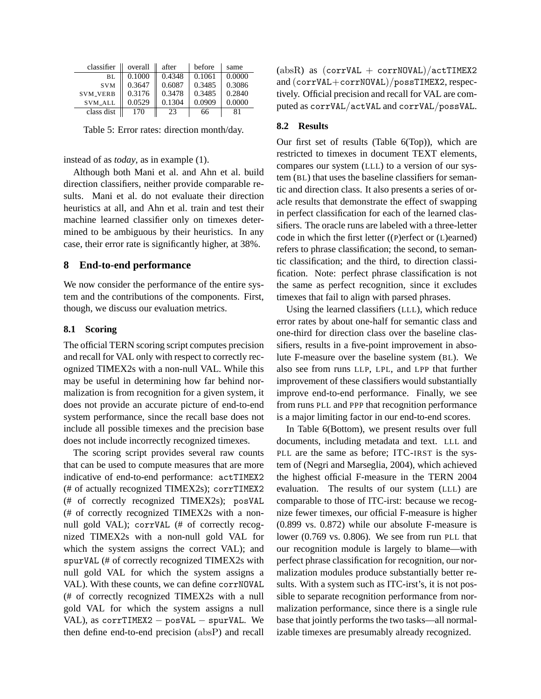| classifier      | overall | after  | before | same   |
|-----------------|---------|--------|--------|--------|
| BL.             | 0.1000  | 0.4348 | 0.1061 | 0.0000 |
| <b>SVM</b>      | 0.3647  | 0.6087 | 0.3485 | 0.3086 |
| <b>SVM_VERB</b> | 0.3176  | 0.3478 | 0.3485 | 0.2840 |
| SVM_ALL         | 0.0529  | 0.1304 | 0.0909 | 0.0000 |
| class dist      | 170     | 23     | 66     | 81     |

Table 5: Error rates: direction month/day.

### instead of as *today*, as in example (1).

Although both Mani et al. and Ahn et al. build direction classifiers, neither provide comparable results. Mani et al. do not evaluate their direction heuristics at all, and Ahn et al. train and test their machine learned classifier only on timexes determined to be ambiguous by their heuristics. In any case, their error rate is significantly higher, at 38%.

# **8 End-to-end performance**

We now consider the performance of the entire system and the contributions of the components. First, though, we discuss our evaluation metrics.

# **8.1 Scoring**

The official TERN scoring script computes precision and recall for VAL only with respect to correctly recognized TIMEX2s with a non-null VAL. While this may be useful in determining how far behind normalization is from recognition for a given system, it does not provide an accurate picture of end-to-end system performance, since the recall base does not include all possible timexes and the precision base does not include incorrectly recognized timexes.

The scoring script provides several raw counts that can be used to compute measures that are more indicative of end-to-end performance: actTIMEX2 (# of actually recognized TIMEX2s); corrTIMEX2 (# of correctly recognized TIMEX2s); posVAL (# of correctly recognized TIMEX2s with a nonnull gold VAL); corrVAL (# of correctly recognized TIMEX2s with a non-null gold VAL for which the system assigns the correct VAL); and spurVAL (# of correctly recognized TIMEX2s with null gold VAL for which the system assigns a VAL). With these counts, we can define corrNOVAL (# of correctly recognized TIMEX2s with a null gold VAL for which the system assigns a null VAL), as corrTIMEX2 – posVAL – spurVAL. We then define end-to-end precision (absP) and recall (absR) as  $(corrVAL + corrNOVAL)/actTIMEX2$ and (corrVAL+corrNOVAL)/possTIMEX2, respectively. Official precision and recall for VAL are computed as corrVAL/actVAL and corrVAL/possVAL.

# **8.2 Results**

Our first set of results (Table 6(Top)), which are restricted to timexes in document TEXT elements, compares our system (LLL) to a version of our system (BL) that uses the baseline classifiers for semantic and direction class. It also presents a series of oracle results that demonstrate the effect of swapping in perfect classification for each of the learned classifiers. The oracle runs are labeled with a three-letter code in which the first letter ((P)erfect or (L)earned) refers to phrase classification; the second, to semantic classification; and the third, to direction classification. Note: perfect phrase classification is not the same as perfect recognition, since it excludes timexes that fail to align with parsed phrases.

Using the learned classifiers (LLL), which reduce error rates by about one-half for semantic class and one-third for direction class over the baseline classifiers, results in a five-point improvement in absolute F-measure over the baseline system (BL). We also see from runs LLP, LPL, and LPP that further improvement of these classifiers would substantially improve end-to-end performance. Finally, we see from runs PLL and PPP that recognition performance is a major limiting factor in our end-to-end scores.

In Table 6(Bottom), we present results over full documents, including metadata and text. LLL and PLL are the same as before; ITC-IRST is the system of (Negri and Marseglia, 2004), which achieved the highest official F-measure in the TERN 2004 evaluation. The results of our system (LLL) are comparable to those of ITC-irst: because we recognize fewer timexes, our official F-measure is higher (0.899 vs. 0.872) while our absolute F-measure is lower (0.769 vs. 0.806). We see from run PLL that our recognition module is largely to blame—with perfect phrase classification for recognition, our normalization modules produce substantially better results. With a system such as ITC-irst's, it is not possible to separate recognition performance from normalization performance, since there is a single rule base that jointly performs the two tasks—all normalizable timexes are presumably already recognized.